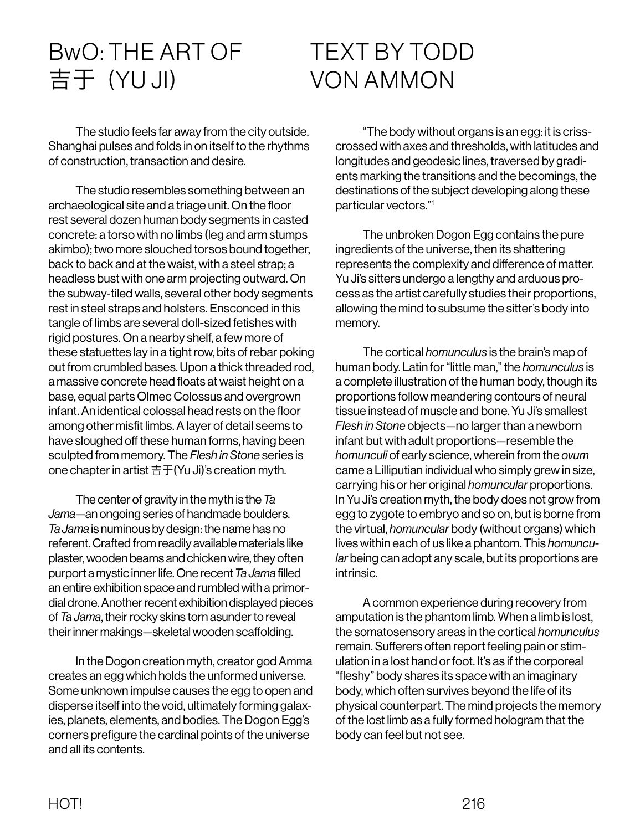## BwO: THE ART OF 吉于 (YU JI) TEXT BY TODD VON AMMON

The studio feels far away from the city outside. Shanghai pulses and folds in on itself to the rhythms of construction, transaction and desire.

The studio resembles something between an archaeological site and a triage unit. On the floor rest several dozen human body segments in casted concrete: a torso with no limbs (leg and arm stumps akimbo); two more slouched torsos bound together, back to back and at the waist, with a steel strap; a headless bust with one arm projecting outward. On the subway-tiled walls, several other body segments rest in steel straps and holsters. Ensconced in this tangle of limbs are several doll-sized fetishes with rigid postures. On a nearby shelf, a few more of these statuettes lay in a tight row, bits of rebar poking out from crumbled bases. Upon a thick threaded rod, a massive concrete head floats at waist height on a base, equal parts Olmec Colossus and overgrown infant. An identical colossal head rests on the floor among other misfit limbs. A layer of detail seems to have sloughed off these human forms, having been sculpted from memory. The *Flesh in Stone* series is one chapter in artist 吉于(Yu Ji)'s creation myth.

The center of gravity in the myth is the *Ta Jama*—an ongoing series of handmade boulders. *Ta Jama* is numinous by design: the name has no referent. Crafted from readily available materials like plaster, wooden beams and chicken wire, they often purport a mystic inner life. One recent *Ta Jama* filled an entire exhibition space and rumbled with a primordial drone. Another recent exhibition displayed pieces of *Ta Jama*, their rocky skins torn asunder to reveal their inner makings—skeletal wooden scaffolding.

In the Dogon creation myth, creator god Amma creates an egg which holds the unformed universe. Some unknown impulse causes the egg to open and disperse itself into the void, ultimately forming galaxies, planets, elements, and bodies. The Dogon Egg's corners prefigure the cardinal points of the universe and all its contents.

"The body without organs is an egg: it is crisscrossed with axes and thresholds, with latitudes and longitudes and geodesic lines, traversed by gradients marking the transitions and the becomings, the destinations of the subject developing along these particular vectors."1

The unbroken Dogon Egg contains the pure ingredients of the universe, then its shattering represents the complexity and difference of matter. Yu Ji's sitters undergo a lengthy and arduous process as the artist carefully studies their proportions, allowing the mind to subsume the sitter's body into memory.

The cortical *homunculus* is the brain's map of human body. Latin for "little man," the *homunculus* is a complete illustration of the human body, though its proportions follow meandering contours of neural tissue instead of muscle and bone. Yu Ji's smallest *Flesh in Stone* objects—no larger than a newborn infant but with adult proportions—resemble the *homunculi* of early science, wherein from the *ovum* came a Lilliputian individual who simply grew in size, carrying his or her original *homuncular* proportions. In Yu Ji's creation myth, the body does not grow from egg to zygote to embryo and so on, but is borne from the virtual, *homuncular* body (without organs) which lives within each of us like a phantom. This *homuncular* being can adopt any scale, but its proportions are intrinsic.

A common experience during recovery from amputation is the phantom limb. When a limb is lost, the somatosensory areas in the cortical *homunculus* remain. Sufferers often report feeling pain or stimulation in a lost hand or foot. It's as if the corporeal "fleshy" body shares its space with an imaginary body, which often survives beyond the life of its physical counterpart. The mind projects the memory of the lost limb as a fully formed hologram that the body can feel but not see.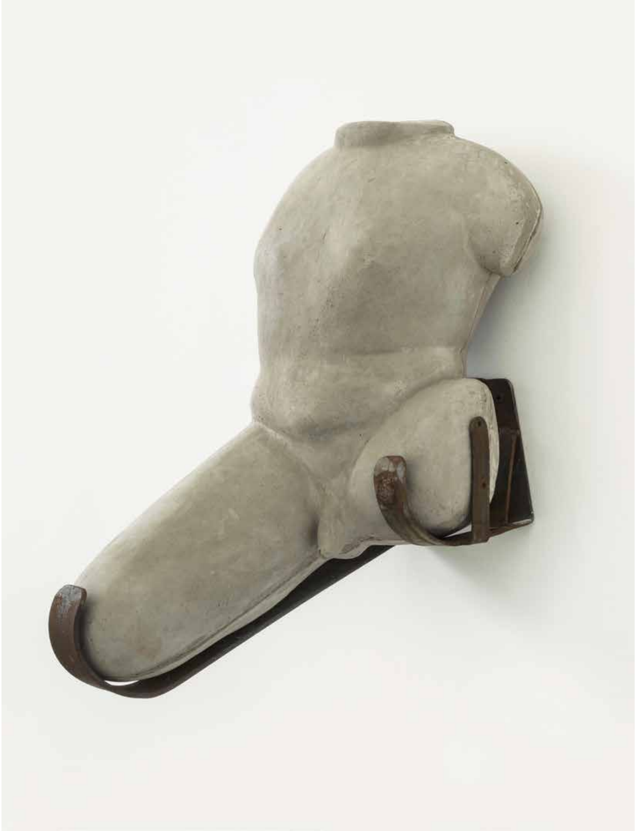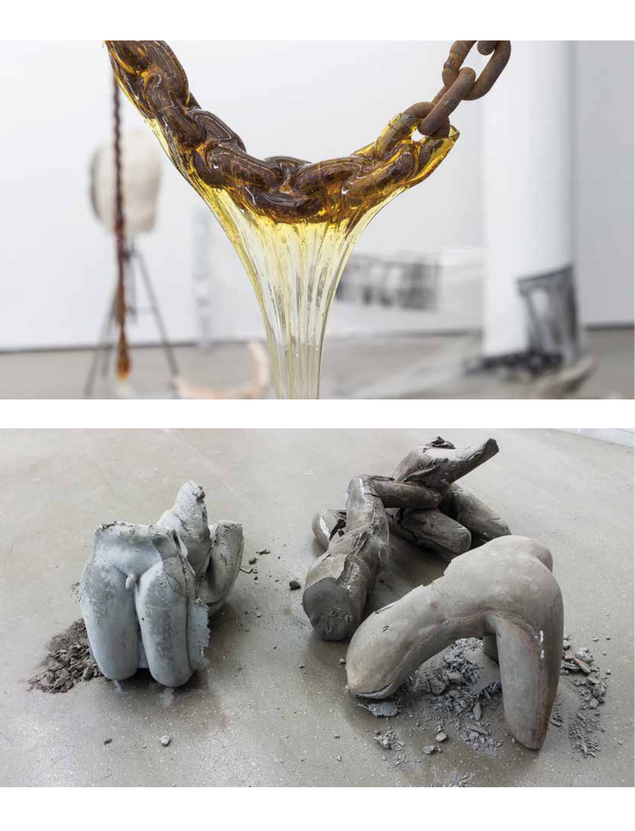